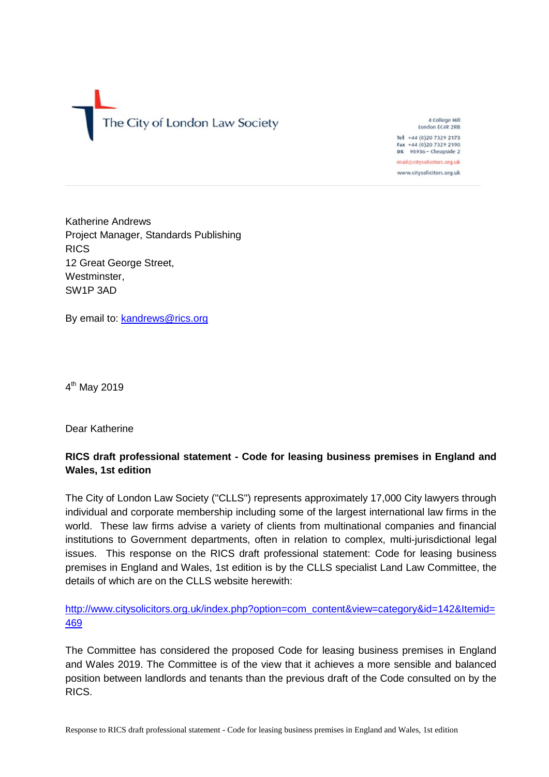The City of London Law Society

4 College Hill London EC4R 2RB Tel +44 (0)20 7329 2173 Fax +44 (0)20 7329 2190 DX 98936 - Cheapside 2

mail@citysolicitors.org.uk www.citysolicitors.org.uk

Katherine Andrews Project Manager, Standards Publishing RICS 12 Great George Street, Westminster, SW1P 3AD

By email to: [kandrews@rics.org](mailto:kandrews@rics.org)

4<sup>th</sup> May 2019

Dear Katherine

## **RICS draft professional statement - Code for leasing business premises in England and Wales, 1st edition**

The City of London Law Society ("CLLS") represents approximately 17,000 City lawyers through individual and corporate membership including some of the largest international law firms in the world. These law firms advise a variety of clients from multinational companies and financial institutions to Government departments, often in relation to complex, multi-jurisdictional legal issues. This response on the RICS draft professional statement: Code for leasing business premises in England and Wales, 1st edition is by the CLLS specialist Land Law Committee, the details of which are on the CLLS website herewith:

[http://www.citysolicitors.org.uk/index.php?option=com\\_content&view=category&id=142&Itemid=](http://www.citysolicitors.org.uk/index.php?option=com_content&view=category&id=142&Itemid=469) [469](http://www.citysolicitors.org.uk/index.php?option=com_content&view=category&id=142&Itemid=469)

The Committee has considered the proposed Code for leasing business premises in England and Wales 2019. The Committee is of the view that it achieves a more sensible and balanced position between landlords and tenants than the previous draft of the Code consulted on by the RICS.